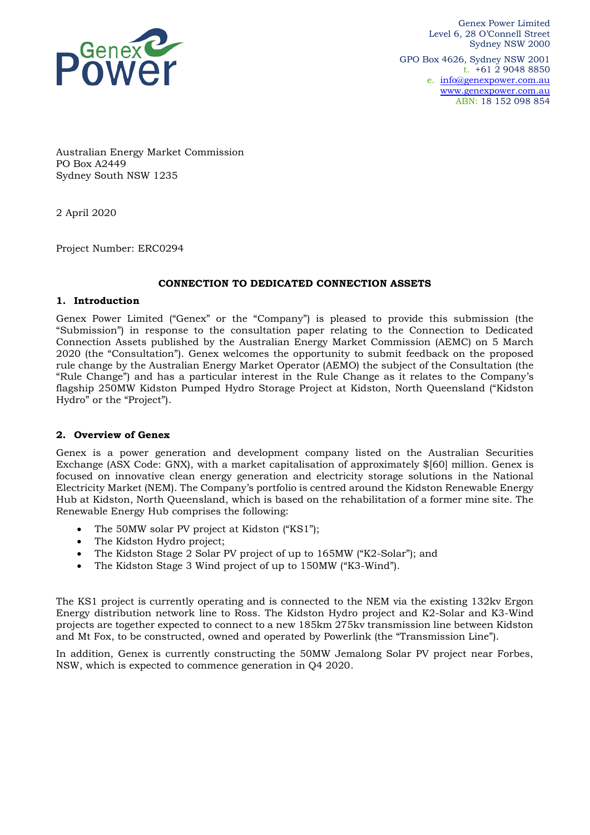

Genex Power Limited Level 6, 28 O'Connell Street Sydney NSW 2000 GPO Box 4626, Sydney NSW 2001 t. +61 2 9048 8850 e. [info@genexpower.com.au](mailto:info@genexpower.com.au) [www.genexpower.com.au](http://www.genexpower.com.au/) ABN: 18 152 098 854

Australian Energy Market Commission PO Box A2449 Sydney South NSW 1235

2 April 2020

Project Number: ERC0294

#### **CONNECTION TO DEDICATED CONNECTION ASSETS**

#### **1. Introduction**

Genex Power Limited ("Genex" or the "Company") is pleased to provide this submission (the "Submission") in response to the consultation paper relating to the Connection to Dedicated Connection Assets published by the Australian Energy Market Commission (AEMC) on 5 March 2020 (the "Consultation"). Genex welcomes the opportunity to submit feedback on the proposed rule change by the Australian Energy Market Operator (AEMO) the subject of the Consultation (the "Rule Change") and has a particular interest in the Rule Change as it relates to the Company's flagship 250MW Kidston Pumped Hydro Storage Project at Kidston, North Queensland ("Kidston Hydro" or the "Project").

#### **2. Overview of Genex**

Genex is a power generation and development company listed on the Australian Securities Exchange (ASX Code: GNX), with a market capitalisation of approximately \$[60] million. Genex is focused on innovative clean energy generation and electricity storage solutions in the National Electricity Market (NEM). The Company's portfolio is centred around the Kidston Renewable Energy Hub at Kidston, North Queensland, which is based on the rehabilitation of a former mine site. The Renewable Energy Hub comprises the following:

- The 50MW solar PV project at Kidston ("KS1");
- The Kidston Hydro project;
- The Kidston Stage 2 Solar PV project of up to 165MW ("K2-Solar"); and
- The Kidston Stage 3 Wind project of up to 150MW ("K3-Wind").

The KS1 project is currently operating and is connected to the NEM via the existing 132kv Ergon Energy distribution network line to Ross. The Kidston Hydro project and K2-Solar and K3-Wind projects are together expected to connect to a new 185km 275kv transmission line between Kidston and Mt Fox, to be constructed, owned and operated by Powerlink (the "Transmission Line").

In addition, Genex is currently constructing the 50MW Jemalong Solar PV project near Forbes, NSW, which is expected to commence generation in Q4 2020.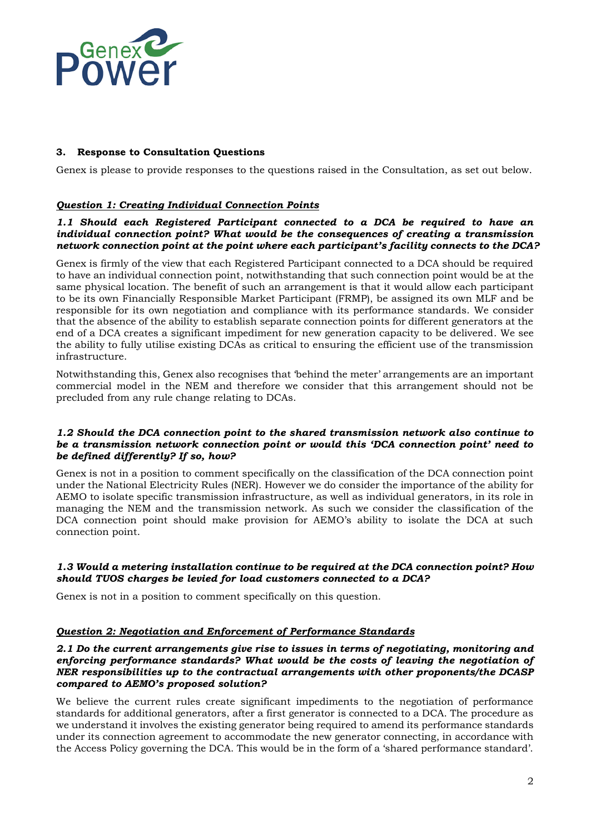

# **3. Response to Consultation Questions**

Genex is please to provide responses to the questions raised in the Consultation, as set out below.

# *Question 1: Creating Individual Connection Points*

## *1.1 Should each Registered Participant connected to a DCA be required to have an individual connection point? What would be the consequences of creating a transmission network connection point at the point where each participant's facility connects to the DCA?*

Genex is firmly of the view that each Registered Participant connected to a DCA should be required to have an individual connection point, notwithstanding that such connection point would be at the same physical location. The benefit of such an arrangement is that it would allow each participant to be its own Financially Responsible Market Participant (FRMP), be assigned its own MLF and be responsible for its own negotiation and compliance with its performance standards. We consider that the absence of the ability to establish separate connection points for different generators at the end of a DCA creates a significant impediment for new generation capacity to be delivered. We see the ability to fully utilise existing DCAs as critical to ensuring the efficient use of the transmission infrastructure.

Notwithstanding this, Genex also recognises that 'behind the meter' arrangements are an important commercial model in the NEM and therefore we consider that this arrangement should not be precluded from any rule change relating to DCAs.

## *1.2 Should the DCA connection point to the shared transmission network also continue to be a transmission network connection point or would this 'DCA connection point' need to be defined differently? If so, how?*

Genex is not in a position to comment specifically on the classification of the DCA connection point under the National Electricity Rules (NER). However we do consider the importance of the ability for AEMO to isolate specific transmission infrastructure, as well as individual generators, in its role in managing the NEM and the transmission network. As such we consider the classification of the DCA connection point should make provision for AEMO's ability to isolate the DCA at such connection point.

## *1.3 Would a metering installation continue to be required at the DCA connection point? How should TUOS charges be levied for load customers connected to a DCA?*

Genex is not in a position to comment specifically on this question.

## *Question 2: Negotiation and Enforcement of Performance Standards*

### *2.1 Do the current arrangements give rise to issues in terms of negotiating, monitoring and enforcing performance standards? What would be the costs of leaving the negotiation of NER responsibilities up to the contractual arrangements with other proponents/the DCASP compared to AEMO's proposed solution?*

We believe the current rules create significant impediments to the negotiation of performance standards for additional generators, after a first generator is connected to a DCA. The procedure as we understand it involves the existing generator being required to amend its performance standards under its connection agreement to accommodate the new generator connecting, in accordance with the Access Policy governing the DCA. This would be in the form of a 'shared performance standard'.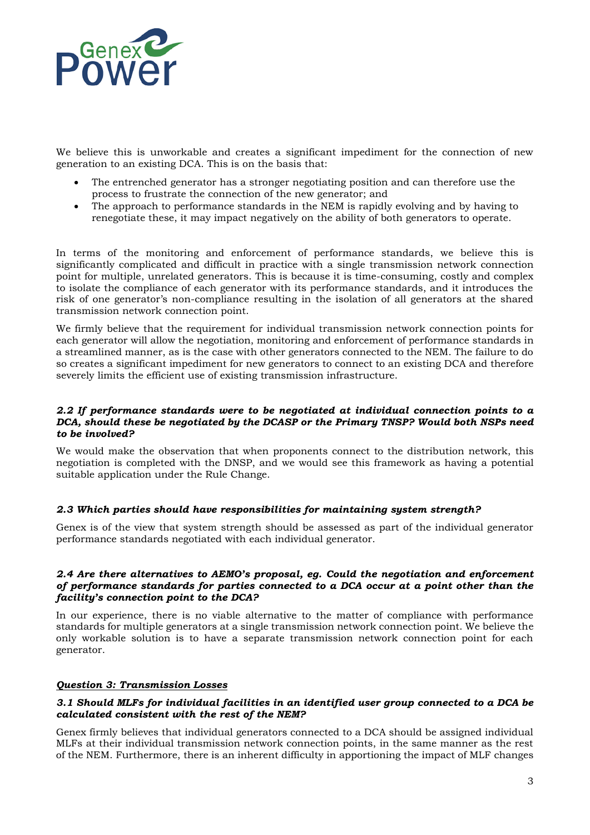

We believe this is unworkable and creates a significant impediment for the connection of new generation to an existing DCA. This is on the basis that:

- The entrenched generator has a stronger negotiating position and can therefore use the process to frustrate the connection of the new generator; and
- The approach to performance standards in the NEM is rapidly evolving and by having to renegotiate these, it may impact negatively on the ability of both generators to operate.

In terms of the monitoring and enforcement of performance standards, we believe this is significantly complicated and difficult in practice with a single transmission network connection point for multiple, unrelated generators. This is because it is time-consuming, costly and complex to isolate the compliance of each generator with its performance standards, and it introduces the risk of one generator's non-compliance resulting in the isolation of all generators at the shared transmission network connection point.

We firmly believe that the requirement for individual transmission network connection points for each generator will allow the negotiation, monitoring and enforcement of performance standards in a streamlined manner, as is the case with other generators connected to the NEM. The failure to do so creates a significant impediment for new generators to connect to an existing DCA and therefore severely limits the efficient use of existing transmission infrastructure.

## *2.2 If performance standards were to be negotiated at individual connection points to a DCA, should these be negotiated by the DCASP or the Primary TNSP? Would both NSPs need to be involved?*

We would make the observation that when proponents connect to the distribution network, this negotiation is completed with the DNSP, and we would see this framework as having a potential suitable application under the Rule Change.

## *2.3 Which parties should have responsibilities for maintaining system strength?*

Genex is of the view that system strength should be assessed as part of the individual generator performance standards negotiated with each individual generator.

#### *2.4 Are there alternatives to AEMO's proposal, eg. Could the negotiation and enforcement of performance standards for parties connected to a DCA occur at a point other than the facility's connection point to the DCA?*

In our experience, there is no viable alternative to the matter of compliance with performance standards for multiple generators at a single transmission network connection point. We believe the only workable solution is to have a separate transmission network connection point for each generator.

## *Question 3: Transmission Losses*

## *3.1 Should MLFs for individual facilities in an identified user group connected to a DCA be calculated consistent with the rest of the NEM?*

Genex firmly believes that individual generators connected to a DCA should be assigned individual MLFs at their individual transmission network connection points, in the same manner as the rest of the NEM. Furthermore, there is an inherent difficulty in apportioning the impact of MLF changes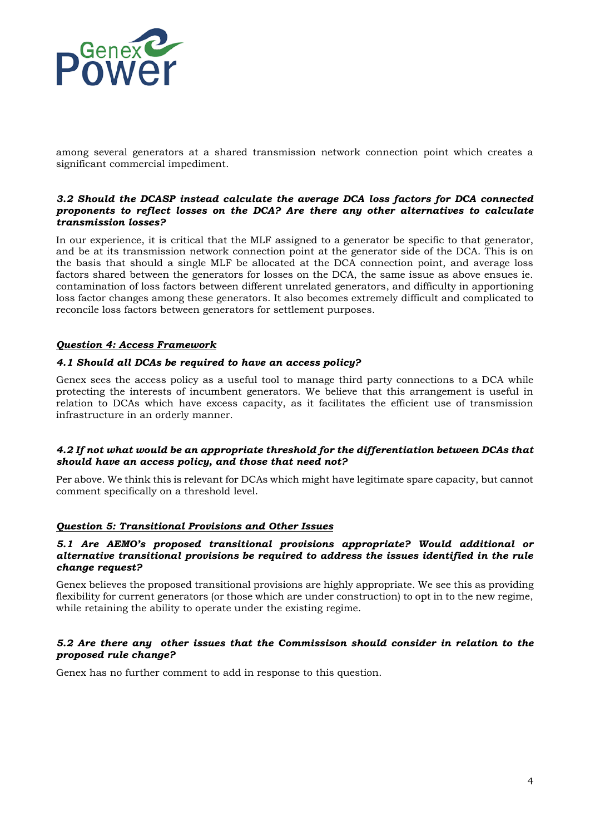

among several generators at a shared transmission network connection point which creates a significant commercial impediment.

## *3.2 Should the DCASP instead calculate the average DCA loss factors for DCA connected proponents to reflect losses on the DCA? Are there any other alternatives to calculate transmission losses?*

In our experience, it is critical that the MLF assigned to a generator be specific to that generator, and be at its transmission network connection point at the generator side of the DCA. This is on the basis that should a single MLF be allocated at the DCA connection point, and average loss factors shared between the generators for losses on the DCA, the same issue as above ensues ie. contamination of loss factors between different unrelated generators, and difficulty in apportioning loss factor changes among these generators. It also becomes extremely difficult and complicated to reconcile loss factors between generators for settlement purposes.

# *Question 4: Access Framework*

## *4.1 Should all DCAs be required to have an access policy?*

Genex sees the access policy as a useful tool to manage third party connections to a DCA while protecting the interests of incumbent generators. We believe that this arrangement is useful in relation to DCAs which have excess capacity, as it facilitates the efficient use of transmission infrastructure in an orderly manner.

## *4.2 If not what would be an appropriate threshold for the differentiation between DCAs that should have an access policy, and those that need not?*

Per above. We think this is relevant for DCAs which might have legitimate spare capacity, but cannot comment specifically on a threshold level.

## *Question 5: Transitional Provisions and Other Issues*

### *5.1 Are AEMO's proposed transitional provisions appropriate? Would additional or alternative transitional provisions be required to address the issues identified in the rule change request?*

Genex believes the proposed transitional provisions are highly appropriate. We see this as providing flexibility for current generators (or those which are under construction) to opt in to the new regime, while retaining the ability to operate under the existing regime.

## *5.2 Are there any other issues that the Commissison should consider in relation to the proposed rule change?*

Genex has no further comment to add in response to this question.